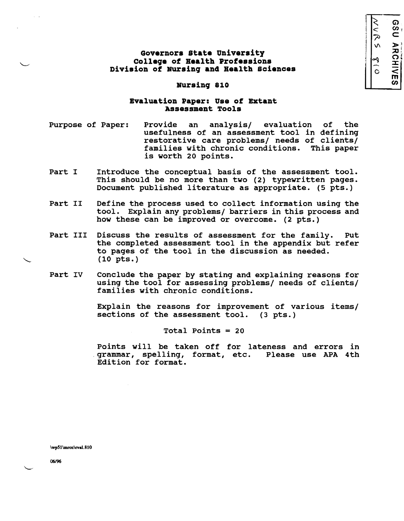G')  $\dot{<}$  $\boldsymbol{\omega}_1$ C  $\frac{1}{\sqrt{5}}$  $\frac{1}{2}$ HIVES<br>RIVES

# **Governors state University colleqe of Health Professions Division of Bursinq an4 Health sciences**

#### **Nursing 810**

## **Evaluation Paper: Use of Extant Assessment Tools**

- Purpose of Paper: Provide an analysis/ evaluation of the usefulness of an assessment tool in defining restorative care problems/ needs of clients/ families with chronic conditions. is worth 20 points.
- Part I Introduce the conceptual basis of the assessment tool. This should be no more than two (2) typewritten pages. Document published literature as appropriate. (5 pts.)
- Part II Define the process used to collect information using the tool. Explain any problems/ barriers in this process and how these can be improved or overcome. (2 pts.)
- Part III Discuss the results of assessment for the family. Put the completed assessment tool in the appendix but refer to pages of the tool in the discussion as needed. (10 pts.)
- Part IV Conclude the paper by stating and explaining reasons for using the tool for assessing problems/ needs of clients/ families with chronic conditions.

Explain the reasons for improvement of various items/ sections of the assessment tool. (3 pts.)

Total Points = 20

Points will be taken off for lateness and errors in .grammar, spelling, format, etc. Please use APA 4th Edition for format.

\wpSl\mroz\evai.810

06/96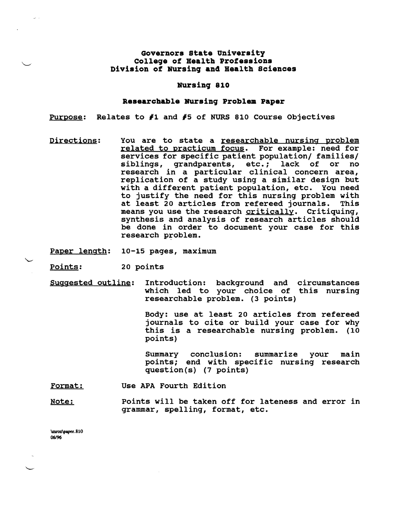## Governora state Univeraity College of Health profeaaiona Diviaion of NUrsing and Health Sciences

#### NUrsing 810

### Researchable Nursing Problem Paper

Purpose: Relates to *11* and *15* of NURS 810 Course Objectives

Directions: You are to state a researchable nursing problem related to practicum focus. For example: need for services for specific patient population/ families/<br>siblings. grandparents. etc.: lack of or no siblings, grandparents, etc.; lack of research in a particular clinical concern area, replication of a study using a similar design but with a different patient population, etc. You need to justify the need for this nursing problem with at least 20 articles from refereed journals. This means you use the research critically. Critiquing, synthesis and analysis of research articles should be done in order to document your case for this research problem.

Paper length: 10-15 pages, maximum

Points: 20 points

Suggested outline: Introduction: background and circumstances which led to your choice of this nursing researchable problem. (3 points)

> Body: use at least 20 articles from refereed journals to cite or build your case for why this is a researchable nursing problem. (10 points)

> Summary conclusion: summarize your main points; end with specific nursing research question(s) (7 points)

Format: Use APA Fourth Edition

Note: The Points will be taken off for lateness and error in grammar, spelling, format, etc.

\mroz\paper.810 06196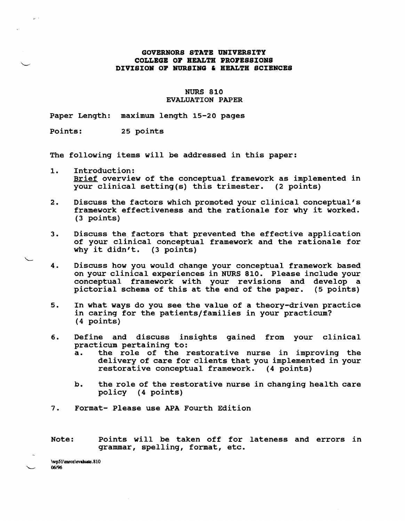### **GOVERNORS STATB UNIVERSITY COLLEGB OF HEALTH PROFESSIONS DIVISION OF NURSING & HEALTH SCIENCES**

### NURS 810 EVALUATION PAPER

Paper Length: maximum length 15-20 pages

Points: 25 points

The following items will be addressed in this paper:

- 1. Introduction: Brief overview of the conceptual framework as implemented in your clinical setting(s) this trimester. (2 points)
- 2. Discuss the factors which promoted your clinical conceptual's framework effectiveness and the rationale for why it worked. (3 points)
- 3. Discuss the factors that prevented the effective application of your clinical conceptual framework and the rationale for or your clinical conceptua<br>why it didn't. (3 points)
- 4. Discuss how you would change your conceptual framework based on your clinical experiences in NURS 810. Please include your conceptual framework with your revisions and develop a pictorial schema of this at the end of the paper. (5 points) pictorial schema of this at the end of the paper.
- 5. In what ways do you see the value of a theory-driven practice in caring for the patients/families in your practicum? (4 points)
- 6. Define and discuss insights gained from your clinical practicum pertaining to:<br>a. the role of the r
	- the role of the restorative nurse in improving the delivery of care for clients that you implemented in your restorative conceptual framework. (4 points)
	- b. the role of the restorative nurse in changing health care policy (4 points)
- 7. Format- Please use APA Fourth Edition

Note: Points will be taken off for lateness and errors in grammar, spelling, format, etc.

\wp51\mroz\evaluate.810 "---- *06/96*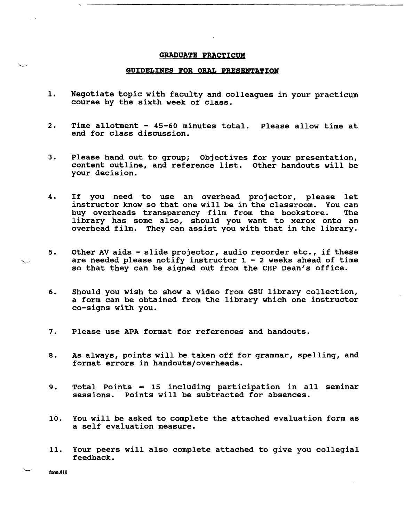#### **GRADUATB PBACTICUM**

#### **GUIDELINES FOR ORAL PRESENTATION**

- 1. Negotiate topic with faculty and colleagues in your practicum course by the sixth week of class.
- 2. Time allotment 45-60 minutes total. Please allow time at end for class discussion.
- 3. Please hand out to group; Objectives for your presentation, content outline, and reference list. Other handouts will be your decision.
- 4. If you need to use an overhead projector, please let instructor know so that one will be in the classroom. You can<br>buy overheads transparency film from the bookstore. The buy overheads transparency film from the bookstore. library has some also, should you want to xerox onto an overhead film. They can assist you with that in the library.
- 5. Other AV aids slide projector, audio recorder etc., if these are needed please notify instructor  $1 - 2$  weeks ahead of time so that they can be signed out from the CHP Dean's office.
- 6. Should you wish to show a video from GSU library collection, a form can be obtained from the library which one instructor co-signs with you.
- 7. Please use APA format for references and handouts.
- 8. As always, points will be taken off for grammar, spelling, and format errors in handouts/overheads.
- 9. Total Points = 15 including participation in all seminar sessions. Points will be subtracted for absences.
- 10. You will be asked to complete the attached evaluation form as a self evaluation measure.
- 11. Your peers will also complete attached to give you collegial feedback.

form.810